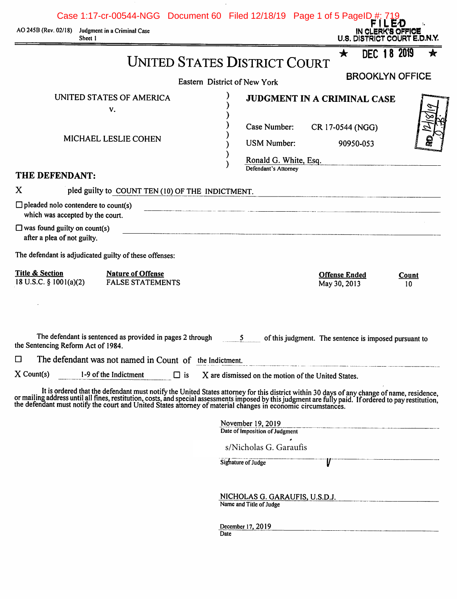| AO 245B (Rev. 02/18)                                                           | Case 1:17-cr-00544-NGG Document 60 Filed 12/18/19 Page 1 of 5 PageID #: 719<br>Judgment in a Criminal Case<br>Sheet 1                                                                                                                                                                                                                                                        |                                                                                     |                                                       | ЕĐ<br><b>IN CLERK'S OFFICE</b><br>U.S. DISTRICT COURT E.D.N.Y. |
|--------------------------------------------------------------------------------|------------------------------------------------------------------------------------------------------------------------------------------------------------------------------------------------------------------------------------------------------------------------------------------------------------------------------------------------------------------------------|-------------------------------------------------------------------------------------|-------------------------------------------------------|----------------------------------------------------------------|
|                                                                                |                                                                                                                                                                                                                                                                                                                                                                              | <b>UNITED STATES DISTRICT COURT</b>                                                 | $\bigstar$                                            | <b>DEC 18 2019</b><br>★<br><b>BROOKLYN OFFICE</b>              |
|                                                                                |                                                                                                                                                                                                                                                                                                                                                                              | Eastern District of New York                                                        |                                                       |                                                                |
|                                                                                | UNITED STATES OF AMERICA                                                                                                                                                                                                                                                                                                                                                     | JUDGMENT IN A CRIMINAL CASE                                                         |                                                       |                                                                |
|                                                                                | v.<br>MICHAEL LESLIE COHEN                                                                                                                                                                                                                                                                                                                                                   | Case Number:<br><b>USM Number:</b><br>Ronald G. White, Esq.<br>Defendant's Attorney | CR 17-0544 (NGG)<br>90950-053                         |                                                                |
| THE DEFENDANT:                                                                 |                                                                                                                                                                                                                                                                                                                                                                              |                                                                                     |                                                       |                                                                |
| X                                                                              | pled guilty to COUNT TEN (10) OF THE INDICTMENT.                                                                                                                                                                                                                                                                                                                             |                                                                                     |                                                       |                                                                |
| $\Box$ pleaded nolo contendere to count(s)<br>which was accepted by the court. |                                                                                                                                                                                                                                                                                                                                                                              |                                                                                     |                                                       |                                                                |
| $\Box$ was found guilty on count(s)<br>after a plea of not guilty.             |                                                                                                                                                                                                                                                                                                                                                                              |                                                                                     |                                                       |                                                                |
|                                                                                | The defendant is adjudicated guilty of these offenses:                                                                                                                                                                                                                                                                                                                       |                                                                                     |                                                       |                                                                |
| <b>Title &amp; Section</b><br>18 U.S.C. $\S$ 1001(a)(2)                        | <b>Nature of Offense</b><br><b>FALSE STATEMENTS</b>                                                                                                                                                                                                                                                                                                                          |                                                                                     | <b>Offense Ended</b><br>May 30, 2013                  | <b>Count</b><br>10                                             |
| the Sentencing Reform Act of 1984.                                             | The defendant is sentenced as provided in pages 2 through                                                                                                                                                                                                                                                                                                                    | 5 <sub>1</sub>                                                                      | of this judgment. The sentence is imposed pursuant to |                                                                |
| □                                                                              | The defendant was not named in Count of the Indictment.                                                                                                                                                                                                                                                                                                                      |                                                                                     |                                                       |                                                                |
| $X$ Count(s)                                                                   | 1-9 of the Indictment<br>$\Box$ is                                                                                                                                                                                                                                                                                                                                           | X are dismissed on the motion of the United States.                                 |                                                       |                                                                |
|                                                                                | It is ordered that the defendant must notify the United States attorney for this district within 30 days of any change of name, residence,<br>or mailing address until all fines, restitution, costs, and special assessments imposed by this judgment are fully paid. If ordered to pay restitution, the defendant must notify the court and United States attorney of mate |                                                                                     |                                                       |                                                                |
|                                                                                |                                                                                                                                                                                                                                                                                                                                                                              | November 19, 2019<br>Date of Imposition of Judgment                                 |                                                       |                                                                |
|                                                                                |                                                                                                                                                                                                                                                                                                                                                                              | s/Nicholas G. Garaufis                                                              |                                                       |                                                                |
|                                                                                |                                                                                                                                                                                                                                                                                                                                                                              | Signature of Judge                                                                  |                                                       |                                                                |
|                                                                                |                                                                                                                                                                                                                                                                                                                                                                              | NICHOLAS G. GARAUFIS, U.S.D.J.<br>Name and Title of Judge                           |                                                       |                                                                |
|                                                                                |                                                                                                                                                                                                                                                                                                                                                                              | December 17, 2019<br>Date                                                           |                                                       |                                                                |

 $\int$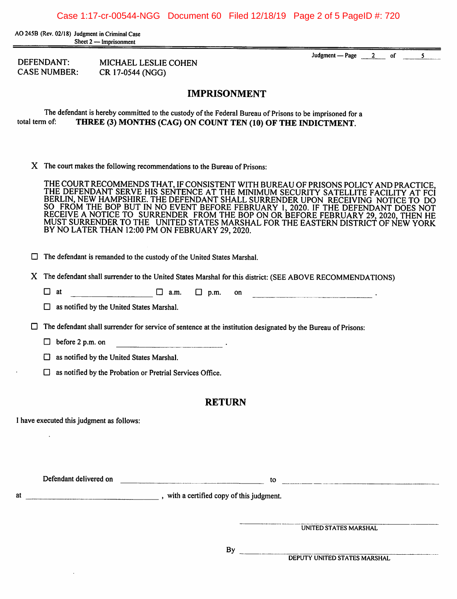AO 245B (Rev. 02/18) Judgment in Criminal Case Sheet 2 — Imprisonment

Judgment — Page 2 of 5

DEFENDANT: CASE NUMBER: MICHAEL LESLIE COHEN CR 17-0544 (NGG)

## IMPRISONMENT

The defendant is hereby committed to the custody of the Federal Bureau of Prisons to be imprisoned for a total term of: THREE (3) MONTHS (CAG) ON COUNT TEN (10) OF THE INDICTMENT.

X The court makes the following recommendations to the Bureau of Prisons:

THE COURT RECOMMENDS THAT, IF CONSISTENT WITH BUREAU OF PRISONS POLICY AND PRACTICE, THE DEFENDANT SERVE HIS SENTENCE AT THE MINIMUM SECURITY SATELLITE FACILITY AT FCI BERLIN, NEW HAMPSHIRE. THE DEFENDANT SHALL SURRENDER UPON RECEIVING NOTICE TO DO SO FROM THE BOP BUT IN NO EVENT BEFORE FEBRUARY 1, 2020. IF THE DEFENDANT DOES NOT RECEIVE A NOTICE TO SURRENDER FROM THE BOP ON OR BEFORE FEBRUARY 29, 2020, THEN HE MUST SURRENDER TO THE UNITED STATES MARSHAL FOR THE EASTERN DISTRICT OF NEW YORK BY NO LATER THAN 12:00 PM ON FEBRUARY 29, 2020.

 $\Box$  The defendant is remanded to the custody of the United States Marshal.

X The defendant shall surrender to the United States Marshal for this district: (SEE ABOVE RECOMMENDATIONS)

| $\Box$ at |  | $\Box$ a.m. $\Box$ p.m. on |  |  |  |
|-----------|--|----------------------------|--|--|--|
|-----------|--|----------------------------|--|--|--|

 $\Box$  as notified by the United States Marshal.

- □ The defendant shall surrender for service of sentence at the institution designated by the Bureau of Prisons:
	- $\Box$  before 2 p.m. on
	- $\Box$  as notified by the United States Marshal.
	- $\Box$  as notified by the Probation or Pretrial Services Office.

## RETURN

1 have executed this judgment as follows:

Defendant delivered on <u>the contract of the contract of the contract of the contract of the contract of the contract of the contract of the contract of the contract of the contract of the contract of the contract of the co</u>

at  $\frac{1}{2}$ , with a certified copy of this judgment.

UNITED STATES MARSHAL

By **Exercise** 

DEPUTY UNITED STATES MARSHAL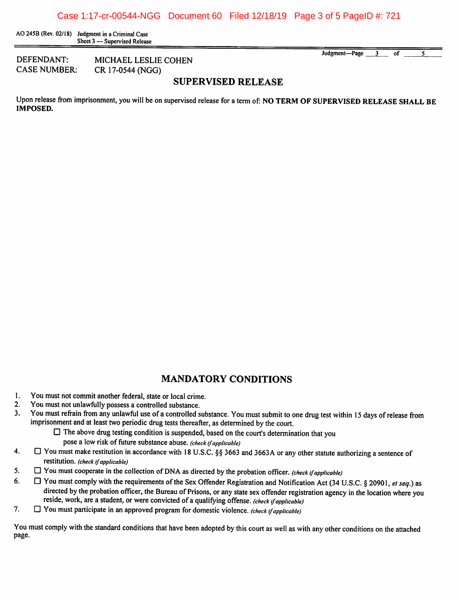AO 245B (Rev. 02/18) Judgment in a Criminal Case Sheet 3 — Supervised Release

DEFENDANT: MICHAEL LESLIE COHEN<br>CASE NUMBER: CR 17-0544 (NGG) CR 17-0544 (NGG)

Judgment—Page 3 of 5

## SUPERVISED RELEASE

Upon release from imprisonment, you will be on supervised release for a term of: NO TERM OF SUPERVISED RELEASE SHALL BE IMPOSED.

## MANDATORY CONDITIONS

- 1. You must not commit another federal, state or local crime.
- 2. You must not unlawfully possess a controlled substance.
- 3. You must refrain from any unlawful use of a controlled substance. You must submit to one drug test within 15 days of release from imprisonment and at least two periodic drug tests thereafter, as determined by the court.
	- $\square$  The above drug testing condition is suspended, based on the court's determination that you pose a low risk of future substance abuse. (check if applicable)
- 4. □ You must make restitution in accordance with 18 U.S.C. §§ 3663 and 3663A or any other statute authorizing a sentence of restitution. (check if applicable)
- $\square$  You must cooperate in the collection of DNA as directed by the probation officer. (check if applicable) 5
- 6. □ You must comply with the requirements of the Sex Offender Registration and Notification Act (34 U.S.C. § 20901, et seq.) as directed by the probation officer, the Bureau of Prisons, or any state sex offender registration agency in the location where you reside, work, are a student, or were convicted of a qualifying offense. (check if applicable)
- 7.  $\Box$  You must participate in an approved program for domestic violence, (check if applicable)

You must comply with the standard conditions that have been adopted by this court as well as with any other conditions on the attached page.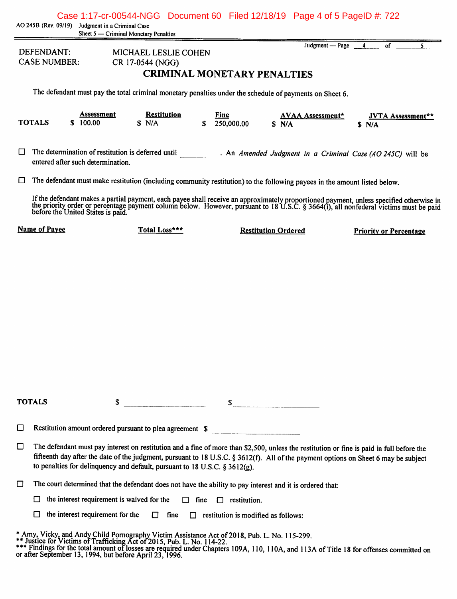Case 1:17-cr-00544-NGG Document 60 Filed 12/18/19 Page 4 of 5 PageID #: 722AO 245B (Rev. 09/19) Judgment in a Criminal Case Sheet 5 — Criminal Monetary Penalties Judgment — Page 4 of DEFENDANT: MICHAEL LESLIE COHEN CASE NUMBER: CR 17-0544 (NGG) CRIMINAL MONETARY PENALTIES The defendant must pay the total criminal monetary penalties under the schedule of payments on Sheet 6. Assessment Restitution Fine AVAA Assessment\* JVTA Assessment\*\* 100.00 \$ N/A TOTALS \$ 100.00 \$ N/A \$  $\frac{250,000.00}{8}$  \$ N/A \$  $\frac{N}{A}$  \$ N/A □ The determination of restitution is deferred until . An Amended Judgment in a Criminal Case (AO 245C) will be entered after such determination.  $\Box$  The defendant must make restitution (including community restitution) to the following payees in the amount listed below. If the defendant makes a partial payment, each payee shall receive an approximately proportioned payment, unless specified otherwise in the pnonty order or percentage payment column below. However, pursuant to 18 U.S.C. § 3664(i), all nonfederal victims must be paid before the United States is paid.  $\blacksquare$ Name of Payee Total Loss\*\*\* Restitution Ordered Priority or Percentage TOTALS <sup>\$</sup>  $\sim$ □ Restitution amount ordered pursuant to plea agreement \$  $\square$  The defendant must pay interest on restitution and a fine of more than \$2,500, unless the restitution or fine is paid in full before the fifteenth day after the date of the judgment, pursuant to 18 U.S.C. § 3612(f). All of the payment options on Sheet 6 may be subject to penalties for delinquency and default, pursuant to 18 U.S.C.  $\S$  3612(g).  $\Box$  The court determined that the defendant does not have the ability to pay interest and it is ordered that:  $\Box$  the interest requirement is waived for the  $\Box$  fine  $\Box$  restitution.  $\Box$  the interest requirement for the  $\Box$  fine  $\Box$  restitution is modified as follows: \* Amy, Vicky, and Andy Child Pornography Victim Assistance Act of2018. Pub. L. No. 115-299. \*\* Justice for Victims of Trafficking Act of2015. Pub. L. No. 114-22.

<sup>\*\*\*</sup> Findings for the total amount of losses are required under Chapters 109A, 110, 110A, and 113A of Title 18 for offenses committed on or after September 13, 1994, but before April 23, 1996.